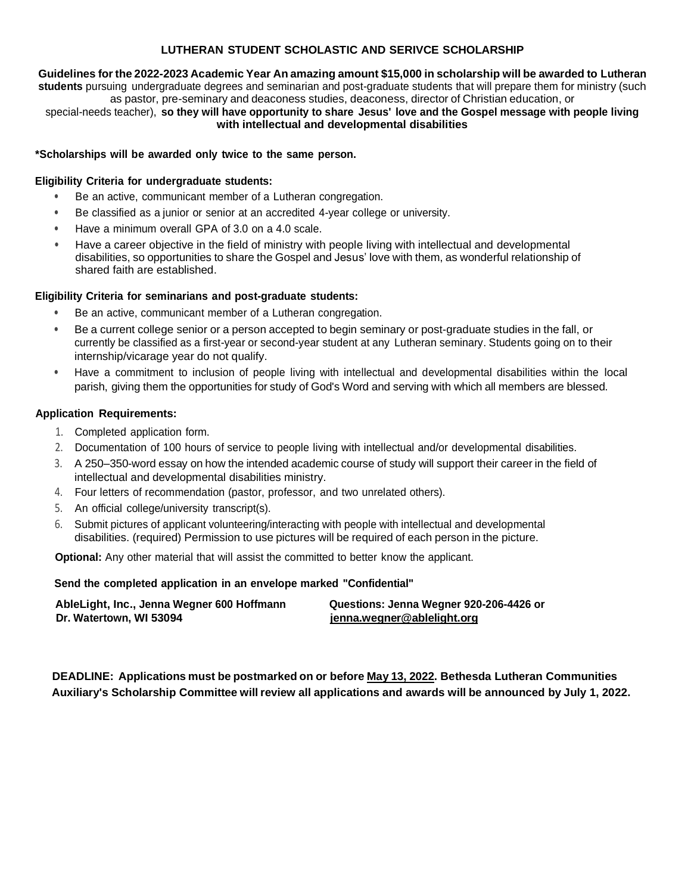## **LUTHERAN STUDENT SCHOLASTIC AND SERIVCE SCHOLARSHIP**

**Guidelines forthe2022-2023 Academic Year An amazing amount \$15,000 in scholarship will be awarded to Lutheran students** pursuing undergraduate degrees and seminarian and post-graduate students that will prepare them for ministry (such as pastor, pre-seminary and deaconess studies, deaconess, director of Christian education, or

special-needs teacher), **so they will have opportunity to share Jesus' love and the Gospel message with people living with intellectual and developmental disabilities**

### **\*Scholarships will be awarded only twice to the same person.**

### **Eligibility Criteria for undergraduate students:**

- Be an active, communicant member of a Lutheran congregation.
- Be classified as a junior or senior at an accredited 4-year college or university.
- Have a minimum overall GPA of 3.0 on a 4.0 scale.
- Have a career objective in the field of ministry with people living with intellectual and developmental disabilities, so opportunities to share the Gospel and Jesus' love with them, as wonderful relationship of shared faith are established.

#### **Eligibility Criteria for seminarians and post-graduate students:**

- Be an active, communicant member of a Lutheran congregation.
- Be a current college senior or a person accepted to begin seminary or post-graduate studies in the fall, or currently be classified as a first-year or second-year student at any Lutheran seminary. Students going on to their internship/vicarage year do not qualify.
- Have a commitment to inclusion of people living with intellectual and developmental disabilities within the local parish, giving them the opportunities for study of God's Word and serving with which all members are blessed.

#### **Application Requirements:**

- 1. Completed application form.
- 2. Documentation of 100 hours of service to people living with intellectual and/or developmental disabilities.
- 3. A 250–350-word essay onhow the intended academic course of study will support their career in the field of intellectual and developmental disabilities ministry.
- 4. Four letters of recommendation (pastor, professor, and two unrelated others).
- 5. An official college/university transcript(s).
- 6. Submit pictures of applicant volunteering/interacting with people with intellectual and developmental disabilities. (required) Permission to use pictures will be required of each person in the picture.

**Optional:** Any other material that will assist the committed to better know the applicant.

#### **Send the completed application in an envelope marked "Confidential"**

| AbleLight, Inc., Jenna Wegner 600 Hoffmann | Questions: Jenna Wegner 920-206-4426 or |
|--------------------------------------------|-----------------------------------------|
| Dr. Watertown, WI 53094                    | jenna.wegner@ablelight.org              |

**DEADLINE: Applications must be postmarked on or before May13, 2022. Bethesda Lutheran Communities Auxiliary's Scholarship Committee will review all applications and awards will be announced by July 1, 2022.**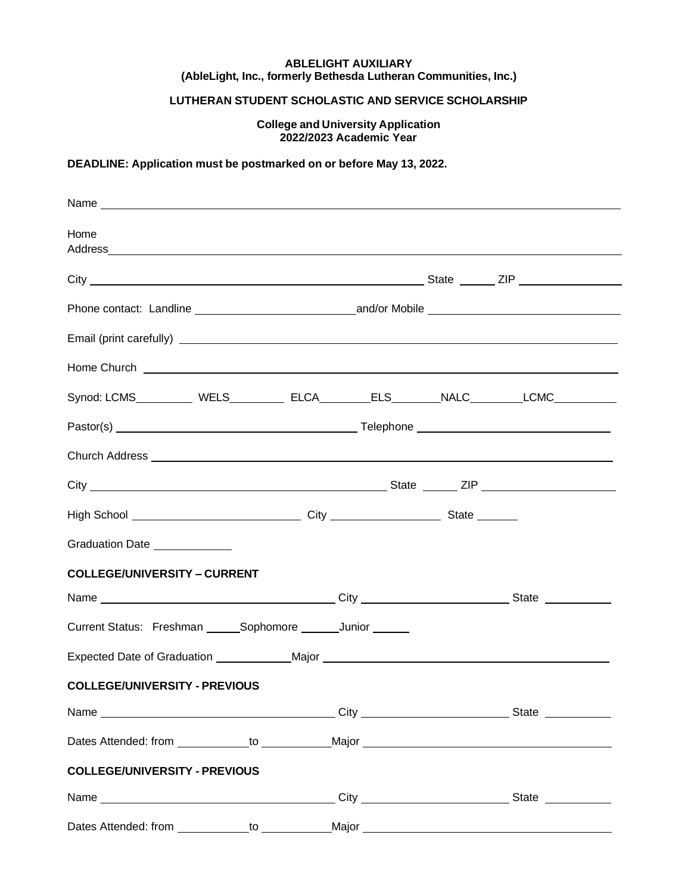### **ABLELIGHT AUXILIARY (AbleLight, Inc., formerly Bethesda Lutheran Communities, Inc.)**

# **LUTHERAN STUDENT SCHOLASTIC AND SERVICE SCHOLARSHIP**

**College and University Application 2022/2023 Academic Year**

## **DEADLINE: Application must be postmarked on or before May 13, 2022.**

| Home                                                                                                                                                                                                                                 |  |  |  |
|--------------------------------------------------------------------------------------------------------------------------------------------------------------------------------------------------------------------------------------|--|--|--|
|                                                                                                                                                                                                                                      |  |  |  |
|                                                                                                                                                                                                                                      |  |  |  |
|                                                                                                                                                                                                                                      |  |  |  |
| Home Church <u>example and the contract of the contract of the contract of the contract of the contract of the contract of the contract of the contract of the contract of the contract of the contract of the contract of the c</u> |  |  |  |
| Synod: LCMS __________ WELS __________ ELCA ________ ELS ________ NALC _________ LCMC __________                                                                                                                                     |  |  |  |
|                                                                                                                                                                                                                                      |  |  |  |
|                                                                                                                                                                                                                                      |  |  |  |
|                                                                                                                                                                                                                                      |  |  |  |
|                                                                                                                                                                                                                                      |  |  |  |
| Graduation Date _____________                                                                                                                                                                                                        |  |  |  |
| <b>COLLEGE/UNIVERSITY - CURRENT</b>                                                                                                                                                                                                  |  |  |  |
|                                                                                                                                                                                                                                      |  |  |  |
| Current Status: Freshman ______Sophomore _______Junior ______                                                                                                                                                                        |  |  |  |
| Expected Date of Graduation _____________ Major ________________________________                                                                                                                                                     |  |  |  |
| <b>COLLEGE/UNIVERSITY - PREVIOUS</b>                                                                                                                                                                                                 |  |  |  |
|                                                                                                                                                                                                                                      |  |  |  |
|                                                                                                                                                                                                                                      |  |  |  |
| <b>COLLEGE/UNIVERSITY - PREVIOUS</b>                                                                                                                                                                                                 |  |  |  |
|                                                                                                                                                                                                                                      |  |  |  |
| Dates Attended: from The Theorem The Major National Major                                                                                                                                                                            |  |  |  |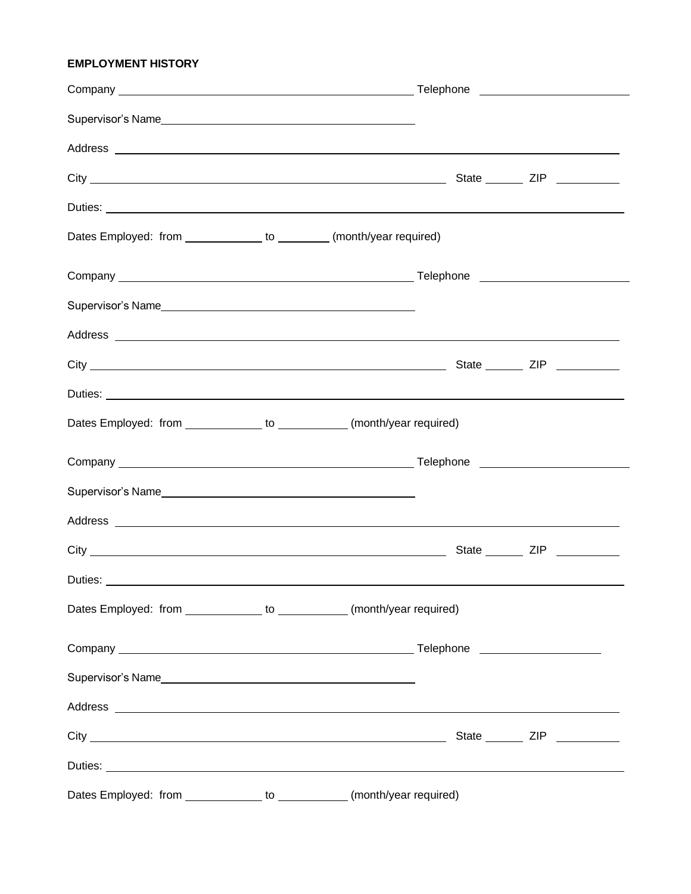# **EMPLOYMENT HISTORY**

| Dates Employed: from ______________ to ________ (month/year required)     |  |  |
|---------------------------------------------------------------------------|--|--|
|                                                                           |  |  |
|                                                                           |  |  |
|                                                                           |  |  |
|                                                                           |  |  |
|                                                                           |  |  |
| Dates Employed: from ______________ to ____________ (month/year required) |  |  |
|                                                                           |  |  |
|                                                                           |  |  |
|                                                                           |  |  |
|                                                                           |  |  |
| Duties:                                                                   |  |  |
| Dates Employed: from _____________ to ___________ (month/year required)   |  |  |
|                                                                           |  |  |
| Supervisor's Name                                                         |  |  |
|                                                                           |  |  |
|                                                                           |  |  |
|                                                                           |  |  |
| Dates Employed: from _____________ to ___________(month/year required)    |  |  |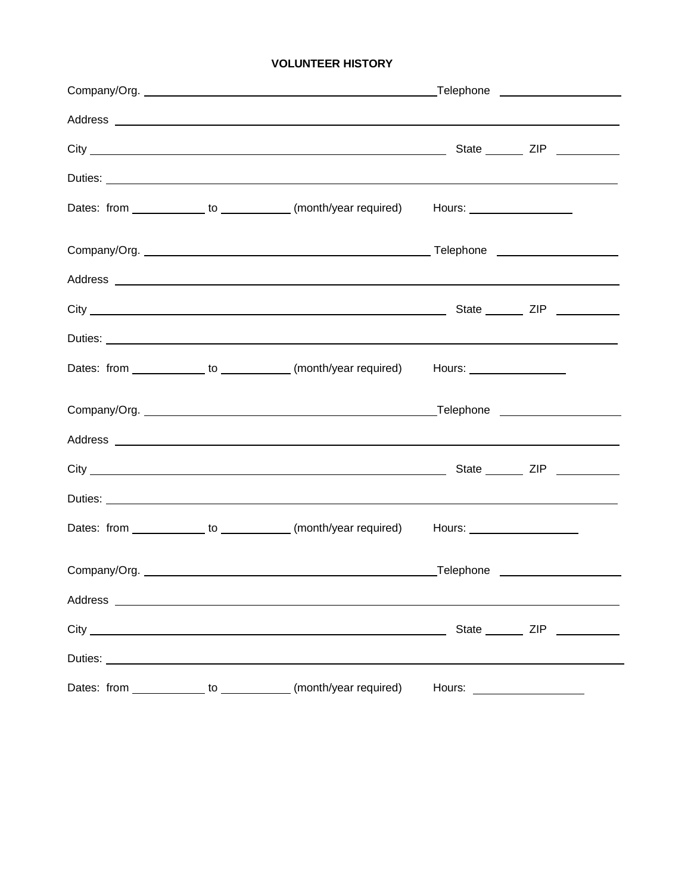# **VOLUNTEER HISTORY**

|                                                                | Dates: from _____________ to ____________ (month/year required) Hours: ________________ |                               |                               |
|----------------------------------------------------------------|-----------------------------------------------------------------------------------------|-------------------------------|-------------------------------|
|                                                                |                                                                                         |                               |                               |
|                                                                |                                                                                         |                               |                               |
|                                                                |                                                                                         |                               |                               |
|                                                                |                                                                                         |                               |                               |
|                                                                | Dates: from ____________ to ___________ (month/year required) Hours: ____________       |                               |                               |
|                                                                |                                                                                         |                               |                               |
|                                                                |                                                                                         |                               |                               |
|                                                                |                                                                                         |                               |                               |
|                                                                |                                                                                         |                               |                               |
|                                                                | Dates: from _____________ to ____________ (month/year required) Hours: ________________ |                               |                               |
|                                                                |                                                                                         |                               |                               |
|                                                                |                                                                                         |                               |                               |
|                                                                |                                                                                         |                               | State ________ ZIP __________ |
|                                                                |                                                                                         |                               |                               |
| Dates: from _____________ to ___________ (month/year required) |                                                                                         | Hours: ______________________ |                               |